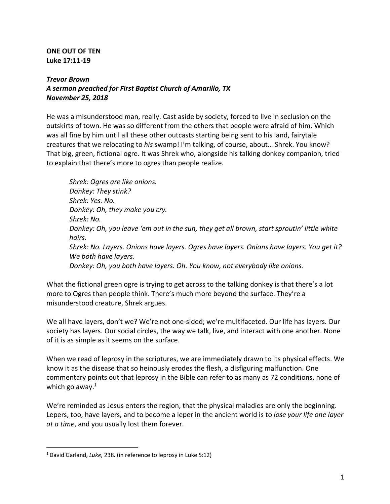**ONE OUT OF TEN Luke 17:11-19**

## *Trevor Brown A sermon preached for First Baptist Church of Amarillo, TX November 25, 2018*

He was a misunderstood man, really. Cast aside by society, forced to live in seclusion on the outskirts of town. He was so different from the others that people were afraid of him. Which was all fine by him until all these other outcasts starting being sent to his land, fairytale creatures that we relocating to *his* swamp! I'm talking, of course, about… Shrek. You know? That big, green, fictional ogre. It was Shrek who, alongside his talking donkey companion, tried to explain that there's more to ogres than people realize.

*Shrek: Ogres are like onions. Donkey: They stink? Shrek: Yes. No. Donkey: Oh, they make you cry. Shrek: No. Donkey: Oh, you leave 'em out in the sun, they get all brown, start sproutin' little white hairs. Shrek: No. Layers. Onions have layers. Ogres have layers. Onions have layers. You get it? We both have layers. Donkey: Oh, you both have layers. Oh. You know, not everybody like onions.*

What the fictional green ogre is trying to get across to the talking donkey is that there's a lot more to Ogres than people think. There's much more beyond the surface. They're a misunderstood creature, Shrek argues.

We all have layers, don't we? We're not one-sided; we're multifaceted. Our life has layers. Our society has layers. Our social circles, the way we talk, live, and interact with one another. None of it is as simple as it seems on the surface.

When we read of leprosy in the scriptures, we are immediately drawn to its physical effects. We know it as the disease that so heinously erodes the flesh, a disfiguring malfunction. One commentary points out that leprosy in the Bible can refer to as many as 72 conditions, none of which go away. $1$ 

We're reminded as Jesus enters the region, that the physical maladies are only the beginning. Lepers, too, have layers, and to become a leper in the ancient world is to *lose your life one layer at a time*, and you usually lost them forever.

<u>.</u>

<sup>1</sup>David Garland, *Luke*, 238. (in reference to leprosy in Luke 5:12)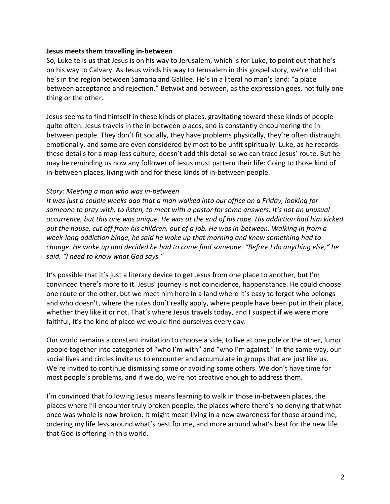#### **Jesus meets them travelling in-between**

So, Luke tells us that Jesus is on his way to Jerusalem, which is for Luke, to point out that he's on his way to Calvary. As Jesus winds his way to Jerusalem in this gospel story, we're told that he's in the region between Samaria and Galilee. He's in a literal no man's land: "a place between acceptance and rejection." Betwixt and between, as the expression goes, not fully one thing or the other.

Jesus seems to find himself in these kinds of places, gravitating toward these kinds of people quite often. Jesus travels in the in-between places, and is constantly encountering the inbetween people. They don't fit socially, they have problems physically, they're often distraught emotionally, and some are even considered by most to be unfit spiritually. Luke, as he records these details for a map-less culture, doesn't add this detail so we can trace Jesus' route. But he may be reminding us how any follower of Jesus must pattern their life: Going to those kind of in-between places, living with and for these kinds of in-between people.

#### *Story: Meeting a man who was in-between*

*It was just a couple weeks ago that a man walked into our office on a Friday, looking for someone to pray with, to listen, to meet with a pastor for some answers. It's not an unusual occurrence, but this one was unique. He was at the end of his rope. His addiction had him kicked out the house, cut off from his children, out of a job. He was in-between. Walking in from a week-long addiction binge, he said he woke up that morning and knew something had to change. He woke up and decided he had to come find someone. "Before I do anything else," he said, "I need to know what God says."*

It's possible that it's just a literary device to get Jesus from one place to another, but I'm convinced there's more to it. Jesus' journey is not coincidence, happenstance. He could choose one route or the other, but we meet him here in a land where it's easy to forget who belongs and who doesn't, where the rules don't really apply, where people have been put in their place, whether they like it or not. That's where Jesus travels today, and I suspect if we were more faithful, it's the kind of place we would find ourselves every day.

Our world remains a constant invitation to choose a side, to live at one pole or the other, lump people together into categories of "who I'm with" and "who I'm against." In the same way, our social lives and circles invite us to encounter and accumulate in groups that are just like us. We're invited to continue dismissing some or avoiding some others. We don't have time for most people's problems, and if we do, we're not creative enough to address them.

I'm convinced that following Jesus means learning to walk in those in-between places, the places where I'll encounter truly broken people, the places where there's no denying that what once was whole is now broken. It might mean living in a new awareness for those around me, ordering my life less around what's best for me, and more around what's best for the new life that God is offering in this world.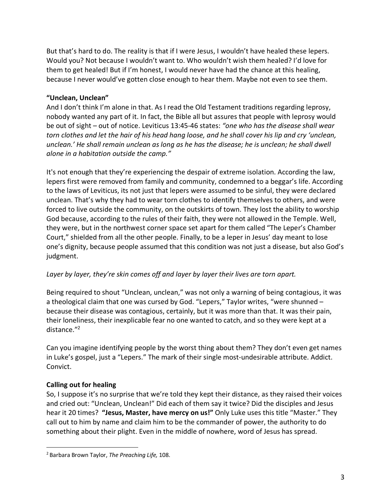But that's hard to do. The reality is that if I were Jesus, I wouldn't have healed these lepers. Would you? Not because I wouldn't want to. Who wouldn't wish them healed? I'd love for them to get healed! But if I'm honest, I would never have had the chance at this healing, because I never would've gotten close enough to hear them. Maybe not even to see them.

#### **"Unclean, Unclean"**

And I don't think I'm alone in that. As I read the Old Testament traditions regarding leprosy, nobody wanted any part of it. In fact, the Bible all but assures that people with leprosy would be out of sight – out of notice. Leviticus 13:45-46 states: *"one who has the disease shall wear torn clothes and let the hair of his head hang loose, and he shall cover his lip and cry 'unclean, unclean.' He shall remain unclean as long as he has the disease; he is unclean; he shall dwell alone in a habitation outside the camp."* 

It's not enough that they're experiencing the despair of extreme isolation. According the law, lepers first were removed from family and community, condemned to a beggar's life. According to the laws of Leviticus, its not just that lepers were assumed to be sinful, they were declared unclean. That's why they had to wear torn clothes to identify themselves to others, and were forced to live outside the community, on the outskirts of town. They lost the ability to worship God because, according to the rules of their faith, they were not allowed in the Temple. Well, they were, but in the northwest corner space set apart for them called "The Leper's Chamber Court," shielded from all the other people. Finally, to be a leper in Jesus' day meant to lose one's dignity, because people assumed that this condition was not just a disease, but also God's judgment.

### *Layer by layer, they're skin comes off and layer by layer their lives are torn apart.*

Being required to shout "Unclean, unclean," was not only a warning of being contagious, it was a theological claim that one was cursed by God. "Lepers," Taylor writes, "were shunned – because their disease was contagious, certainly, but it was more than that. It was their pain, their loneliness, their inexplicable fear no one wanted to catch, and so they were kept at a distance."<sup>2</sup>

Can you imagine identifying people by the worst thing about them? They don't even get names in Luke's gospel, just a "Lepers." The mark of their single most-undesirable attribute. Addict. Convict.

### **Calling out for healing**

<u>.</u>

So, I suppose it's no surprise that we're told they kept their distance, as they raised their voices and cried out: "Unclean, Unclean!" Did each of them say it twice? Did the disciples and Jesus hear it 20 times? **"Jesus, Master, have mercy on us!"** Only Luke uses this title "Master." They call out to him by name and claim him to be the commander of power, the authority to do something about their plight. Even in the middle of nowhere, word of Jesus has spread.

<sup>2</sup> Barbara Brown Taylor, *The Preaching Life,* 108.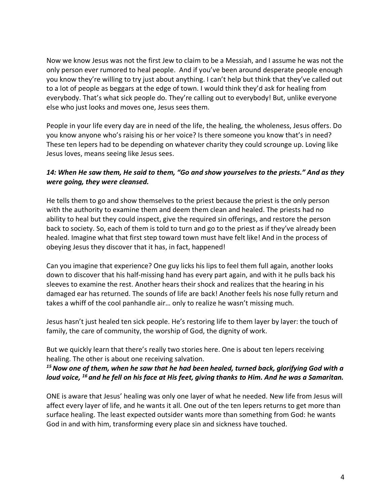Now we know Jesus was not the first Jew to claim to be a Messiah, and I assume he was not the only person ever rumored to heal people. And if you've been around desperate people enough you know they're willing to try just about anything. I can't help but think that they've called out to a lot of people as beggars at the edge of town. I would think they'd ask for healing from everybody. That's what sick people do. They're calling out to everybody! But, unlike everyone else who just looks and moves one, Jesus sees them.

People in your life every day are in need of the life, the healing, the wholeness, Jesus offers. Do you know anyone who's raising his or her voice? Is there someone you know that's in need? These ten lepers had to be depending on whatever charity they could scrounge up. Loving like Jesus loves, means seeing like Jesus sees.

## *14: When He saw them, He said to them, "Go and show yourselves to the priests." And as they were going, they were cleansed.*

He tells them to go and show themselves to the priest because the priest is the only person with the authority to examine them and deem them clean and healed. The priests had no ability to heal but they could inspect, give the required sin offerings, and restore the person back to society. So, each of them is told to turn and go to the priest as if they've already been healed. Imagine what that first step toward town must have felt like! And in the process of obeying Jesus they discover that it has, in fact, happened!

Can you imagine that experience? One guy licks his lips to feel them full again, another looks down to discover that his half-missing hand has every part again, and with it he pulls back his sleeves to examine the rest. Another hears their shock and realizes that the hearing in his damaged ear has returned. The sounds of life are back! Another feels his nose fully return and takes a whiff of the cool panhandle air… only to realize he wasn't missing much.

Jesus hasn't just healed ten sick people. He's restoring life to them layer by layer: the touch of family, the care of community, the worship of God, the dignity of work.

But we quickly learn that there's really two stories here. One is about ten lepers receiving healing. The other is about one receiving salvation.

### <sup>15</sup> Now one of them, when he saw that he had been healed, turned back, glorifying God with a *loud voice, <sup>16</sup> and he fell on his face at His feet, giving thanks to Him. And he was a Samaritan.*

ONE is aware that Jesus' healing was only one layer of what he needed. New life from Jesus will affect every layer of life, and he wants it all. One out of the ten lepers returns to get more than surface healing. The least expected outsider wants more than something from God: he wants God in and with him, transforming every place sin and sickness have touched.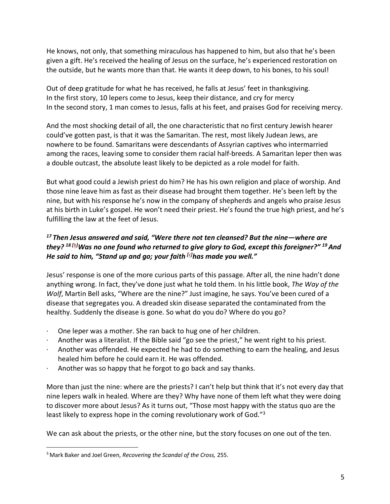He knows, not only, that something miraculous has happened to him, but also that he's been given a gift. He's received the healing of Jesus on the surface, he's experienced restoration on the outside, but he wants more than that. He wants it deep down, to his bones, to his soul!

Out of deep gratitude for what he has received, he falls at Jesus' feet in thanksgiving. In the first story, 10 lepers come to Jesus, keep their distance, and cry for mercy In the second story, 1 man comes to Jesus, falls at his feet, and praises God for receiving mercy.

And the most shocking detail of all, the one characteristic that no first century Jewish hearer could've gotten past, is that it was the Samaritan. The rest, most likely Judean Jews, are nowhere to be found. Samaritans were descendants of Assyrian captives who intermarried among the races, leaving some to consider them racial half-breeds. A Samaritan leper then was a double outcast, the absolute least likely to be depicted as a role model for faith.

But what good could a Jewish priest do him? He has his own religion and place of worship. And those nine leave him as fast as their disease had brought them together. He's been left by the nine, but with his response he's now in the company of shepherds and angels who praise Jesus at his birth in Luke's gospel. He won't need their priest. He's found the true high priest, and he's fulfilling the law at the feet of Jesus.

# *<sup>17</sup> Then Jesus answered and said, "Were there not ten cleansed? But the nine—where are they? <sup>18</sup> [b] Was no one found who returned to give glory to God, except this foreigner?" 19And He said to him, "Stand up and go; your faith [c] has made you well."*

Jesus' response is one of the more curious parts of this passage. After all, the nine hadn't done anything wrong. In fact, they've done just what he told them. In his little book, *The Way of the Wolf*, Martin Bell asks, "Where are the nine?" Just imagine, he says. You've been cured of a disease that segregates you. A dreaded skin disease separated the contaminated from the healthy. Suddenly the disease is gone. So what do you do? Where do you go?

- · One leper was a mother. She ran back to hug one of her children.
- · Another was a literalist. If the Bible said "go see the priest," he went right to his priest.
- · Another was offended. He expected he had to do something to earn the healing, and Jesus healed him before he could earn it. He was offended.
- $\cdot$  Another was so happy that he forgot to go back and say thanks.

More than just the nine: where are the priests? I can't help but think that it's not every day that nine lepers walk in healed. Where are they? Why have none of them left what they were doing to discover more about Jesus? As it turns out, "Those most happy with the status quo are the least likely to express hope in the coming revolutionary work of God."<sup>3</sup>

We can ask about the priests, or the other nine, but the story focuses on one out of the ten.

<u>.</u>

<sup>3</sup> Mark Baker and Joel Green, *Recovering the Scandal of the Cross,* 255.